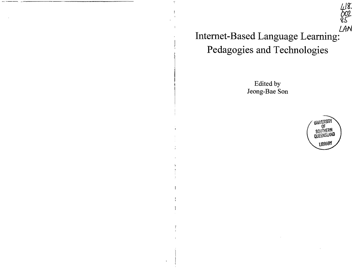*U+N*  **Internet-Based Language Learning: Pedagogies and Technologies** 

 $48.$ 

Edited by Jeong-Bae Son



*bot..*   $82-$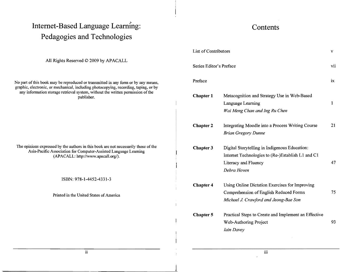## Internet-Based Language Learning: **Pedagogies and Technologies**

All Rights Reserved © 2009 by APACALL

No part of this book may be reproduced or transmitted in any form or by any means, graphic, electronic, or mechanical, including photocopying, recording, taping, or by any information storage retrieval system, without the written permission of the publisher.

The opinions expressed by the authors in this book are not necessarily those of the Asia-Pacific Association for Computer-Assisted Language Learning (APACALL: http://www.apacall.org/).

ISBN: 978-1-4452-4331-3

Printed in the United States of America

 $\,$ 

## **Contents**

| <b>List of Contributors</b> |                                                                                                                                           | v   |
|-----------------------------|-------------------------------------------------------------------------------------------------------------------------------------------|-----|
| Series Editor's Preface     |                                                                                                                                           | vii |
| Preface                     |                                                                                                                                           | ix  |
| <b>Chapter 1</b>            | Metacognition and Strategy Use in Web-Based<br>Language Learning<br>Wai Meng Chan and Ing Ru Chen                                         | 1   |
| <b>Chapter 2</b>            | Integrating Moodle into a Process Writing Course<br><b>Brian Gregory Dunne</b>                                                            | 21  |
| Chapter 3                   | Digital Storytelling in Indigenous Education:<br>Internet Technologies to (Re-)Establish L1 and C1<br>Literacy and Fluency<br>Debra Hoven | 47  |
| <b>Chapter 4</b>            | Using Online Dictation Exercises for Improving<br>Comprehension of English Reduced Forms<br>Michael J. Crawford and Jeong-Bae Son         | 75  |
| Chapter 5                   | Practical Steps to Create and Implement an Effective<br>Web-Authoring Project<br><b><i>Iain Davey</i></b>                                 | 93  |